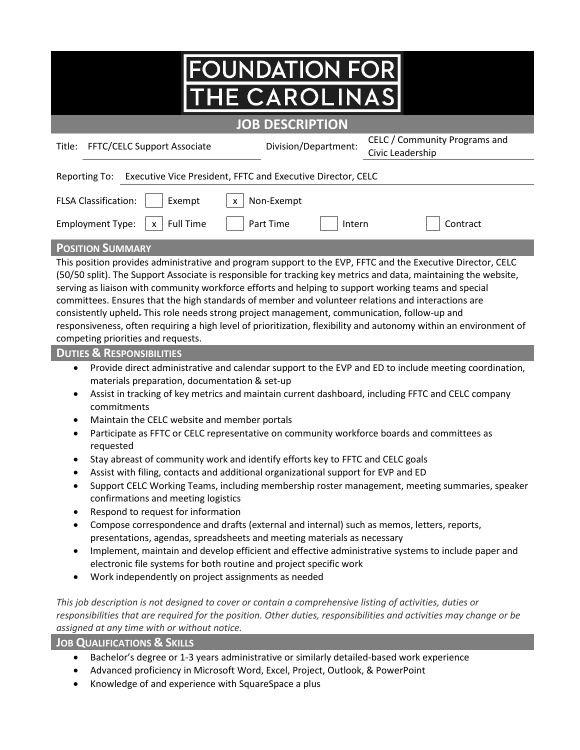## **FOUNDATION FOR IE CAROLINAS**

## **JOB DESCRIPTION**

֠

| <b>FFTC/CELC Support Associate</b><br>Title:                                                                                                                                                                                                                                                                                                                                                                                                                                                                                                                                                                                                                                                            | Division/Department: | CELC / Community Programs and<br>Civic Leadership |  |  |
|---------------------------------------------------------------------------------------------------------------------------------------------------------------------------------------------------------------------------------------------------------------------------------------------------------------------------------------------------------------------------------------------------------------------------------------------------------------------------------------------------------------------------------------------------------------------------------------------------------------------------------------------------------------------------------------------------------|----------------------|---------------------------------------------------|--|--|
| Executive Vice President, FFTC and Executive Director, CELC<br>Reporting To:                                                                                                                                                                                                                                                                                                                                                                                                                                                                                                                                                                                                                            |                      |                                                   |  |  |
| <b>FLSA Classification:</b><br>Exempt<br>Non-Exempt<br>X                                                                                                                                                                                                                                                                                                                                                                                                                                                                                                                                                                                                                                                |                      |                                                   |  |  |
| <b>Full Time</b><br><b>Employment Type:</b><br>$\mathsf{x}$                                                                                                                                                                                                                                                                                                                                                                                                                                                                                                                                                                                                                                             | Part Time<br>Intern  | Contract                                          |  |  |
| <b>POSITION SUMMARY</b>                                                                                                                                                                                                                                                                                                                                                                                                                                                                                                                                                                                                                                                                                 |                      |                                                   |  |  |
| This position provides administrative and program support to the EVP, FFTC and the Executive Director, CELC<br>(50/50 split). The Support Associate is responsible for tracking key metrics and data, maintaining the website,<br>serving as liaison with community workforce efforts and helping to support working teams and special<br>committees. Ensures that the high standards of member and volunteer relations and interactions are<br>consistently upheld. This role needs strong project management, communication, follow-up and<br>responsiveness, often requiring a high level of prioritization, flexibility and autonomy within an environment of<br>competing priorities and requests. |                      |                                                   |  |  |
| <b>DUTIES &amp; RESPONSIBILITIES</b>                                                                                                                                                                                                                                                                                                                                                                                                                                                                                                                                                                                                                                                                    |                      |                                                   |  |  |
| Provide direct administrative and calendar support to the EVP and ED to include meeting coordination,<br>$\bullet$<br>materials preparation, documentation & set-up<br>Assist in tracking of key metrics and maintain current dashboard, including FFTC and CELC company<br>$\bullet$<br>commitments<br>Maintain the CELC website and member portals<br>$\bullet$<br>Participate as FFTC or CELC representative on community workforce boards and committees as<br>$\bullet$<br>requested                                                                                                                                                                                                               |                      |                                                   |  |  |
| Stay abreast of community work and identify efforts key to FFTC and CELC goals<br>$\bullet$<br>Assist with filing, contacts and additional organizational support for EVP and ED<br>Support CELC Working Teams, including membership roster management, meeting summaries, speaker<br>confirmations and meeting logistics                                                                                                                                                                                                                                                                                                                                                                               |                      |                                                   |  |  |

- Respond to request for information
- Compose correspondence and drafts (external and internal) such as memos, letters, reports, presentations, agendas, spreadsheets and meeting materials as necessary
- Implement, maintain and develop efficient and effective administrative systems to include paper and electronic file systems for both routine and project specific work
- Work independently on project assignments as needed

*This job description is not designed to cover or contain a comprehensive listing of activities, duties or responsibilities that are required for the position. Other duties, responsibilities and activities may change or be assigned at any time with or without notice.*

**JOB QUALIFICATIONS & SKILLS**

- Bachelor's degree or 1-3 years administrative or similarly detailed-based work experience
- Advanced proficiency in Microsoft Word, Excel, Project, Outlook, & PowerPoint
- Knowledge of and experience with SquareSpace a plus